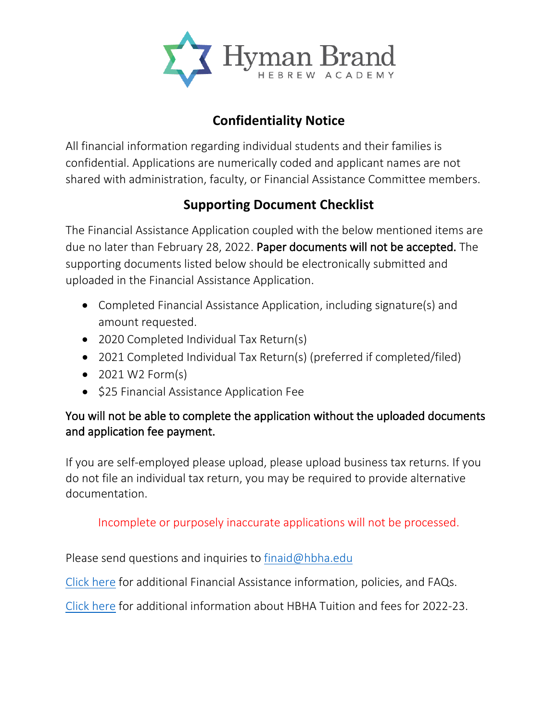

## **Confidentiality Notice**

All financial information regarding individual students and their families is confidential. Applications are numerically coded and applicant names are not shared with administration, faculty, or Financial Assistance Committee members.

## **Supporting Document Checklist**

The Financial Assistance Application coupled with the below mentioned items are due no later than February 28, 2022. Paper documents will not be accepted. The supporting documents listed below should be electronically submitted and uploaded in the Financial Assistance Application.

- Completed Financial Assistance Application, including signature(s) and amount requested.
- 2020 Completed Individual Tax Return(s)
- 2021 Completed Individual Tax Return(s) (preferred if completed/filed)
- $\bullet$  2021 W2 Form(s)
- \$25 Financial Assistance Application Fee

## You will not be able to complete the application without the uploaded documents and application fee payment.

If you are self-employed please upload, please upload business tax returns. If you do not file an individual tax return, you may be required to provide alternative documentation.

Incomplete or purposely inaccurate applications will not be processed.

Please send questions and inquiries to [finaid@hbha.edu](mailto:finaid@hbha.edu)

[Click here](https://www.hbha.edu/admissions/financial-assistance.cfm) for additional Financial Assistance information, policies, and FAQs.

[Click here](https://www.hbha.edu/admissions/tuition-and-assistance.cfm) for additional information about HBHA Tuition and fees for 2022-23.